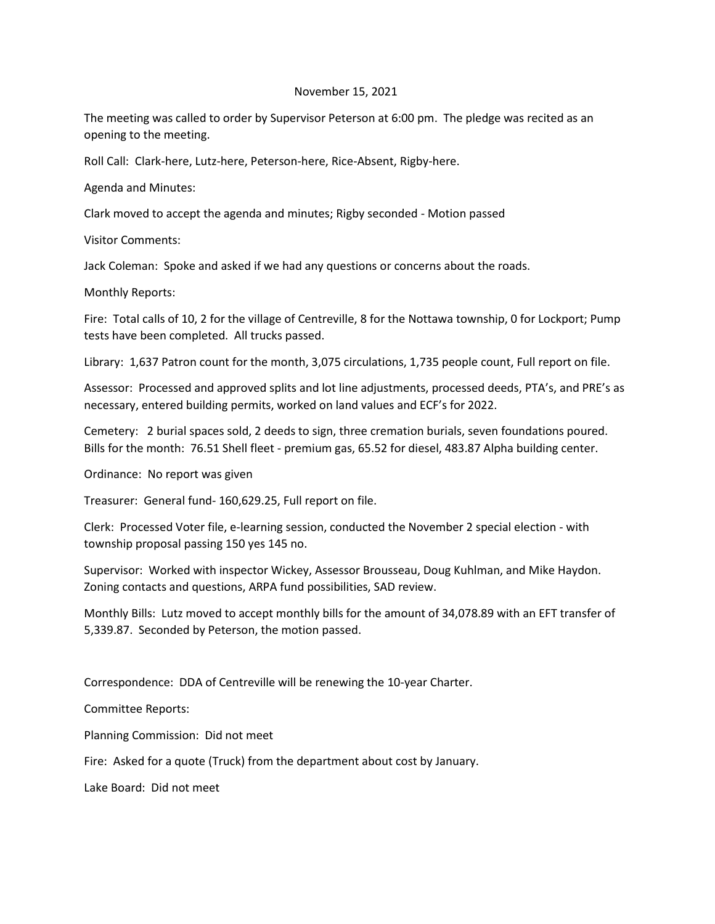## November 15, 2021

The meeting was called to order by Supervisor Peterson at 6:00 pm. The pledge was recited as an opening to the meeting.

Roll Call: Clark-here, Lutz-here, Peterson-here, Rice-Absent, Rigby-here.

Agenda and Minutes:

Clark moved to accept the agenda and minutes; Rigby seconded - Motion passed

Visitor Comments:

Jack Coleman: Spoke and asked if we had any questions or concerns about the roads.

Monthly Reports:

Fire: Total calls of 10, 2 for the village of Centreville, 8 for the Nottawa township, 0 for Lockport; Pump tests have been completed. All trucks passed.

Library: 1,637 Patron count for the month, 3,075 circulations, 1,735 people count, Full report on file.

Assessor: Processed and approved splits and lot line adjustments, processed deeds, PTA's, and PRE's as necessary, entered building permits, worked on land values and ECF's for 2022.

Cemetery: 2 burial spaces sold, 2 deeds to sign, three cremation burials, seven foundations poured. Bills for the month: 76.51 Shell fleet - premium gas, 65.52 for diesel, 483.87 Alpha building center.

Ordinance: No report was given

Treasurer: General fund- 160,629.25, Full report on file.

Clerk: Processed Voter file, e-learning session, conducted the November 2 special election - with township proposal passing 150 yes 145 no.

Supervisor: Worked with inspector Wickey, Assessor Brousseau, Doug Kuhlman, and Mike Haydon. Zoning contacts and questions, ARPA fund possibilities, SAD review.

Monthly Bills: Lutz moved to accept monthly bills for the amount of 34,078.89 with an EFT transfer of 5,339.87. Seconded by Peterson, the motion passed.

Correspondence: DDA of Centreville will be renewing the 10-year Charter.

Committee Reports:

Planning Commission: Did not meet

Fire: Asked for a quote (Truck) from the department about cost by January.

Lake Board: Did not meet